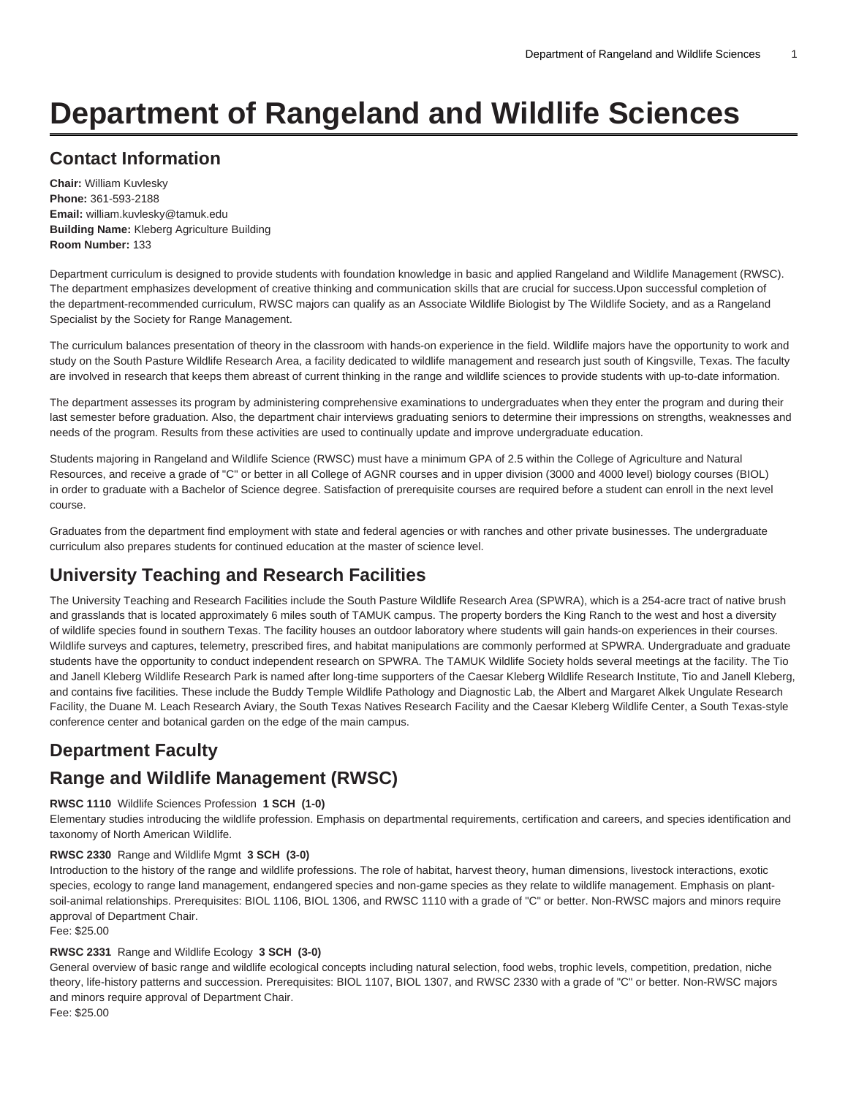# **Department of Rangeland and Wildlife Sciences**

# **Contact Information**

**Chair:** William Kuvlesky **Phone:** 361-593-2188 **Email:** [william.kuvlesky@tamuk.edu](mailto:william.kuvlesky@tamuk.edu) **Building Name:** Kleberg Agriculture Building **Room Number:** 133

Department curriculum is designed to provide students with foundation knowledge in basic and applied Rangeland and Wildlife Management (RWSC). The department emphasizes development of creative thinking and communication skills that are crucial for success.Upon successful completion of the department-recommended curriculum, RWSC majors can qualify as an Associate Wildlife Biologist by The Wildlife Society, and as a Rangeland Specialist by the Society for Range Management.

The curriculum balances presentation of theory in the classroom with hands-on experience in the field. Wildlife majors have the opportunity to work and study on the South Pasture Wildlife Research Area, a facility dedicated to wildlife management and research just south of Kingsville, Texas. The faculty are involved in research that keeps them abreast of current thinking in the range and wildlife sciences to provide students with up-to-date information.

The department assesses its program by administering comprehensive examinations to undergraduates when they enter the program and during their last semester before graduation. Also, the department chair interviews graduating seniors to determine their impressions on strengths, weaknesses and needs of the program. Results from these activities are used to continually update and improve undergraduate education.

Students majoring in Rangeland and Wildlife Science (RWSC) must have a minimum GPA of 2.5 within the College of Agriculture and Natural Resources, and receive a grade of "C" or better in all College of AGNR courses and in upper division (3000 and 4000 level) biology courses (BIOL) in order to graduate with a Bachelor of Science degree. Satisfaction of prerequisite courses are required before a student can enroll in the next level course.

Graduates from the department find employment with state and federal agencies or with ranches and other private businesses. The undergraduate curriculum also prepares students for continued education at the master of science level.

# **University Teaching and Research Facilities**

The University Teaching and Research Facilities include the South Pasture Wildlife Research Area (SPWRA), which is a 254-acre tract of native brush and grasslands that is located approximately 6 miles south of TAMUK campus. The property borders the King Ranch to the west and host a diversity of wildlife species found in southern Texas. The facility houses an outdoor laboratory where students will gain hands-on experiences in their courses. Wildlife surveys and captures, telemetry, prescribed fires, and habitat manipulations are commonly performed at SPWRA. Undergraduate and graduate students have the opportunity to conduct independent research on SPWRA. The TAMUK Wildlife Society holds several meetings at the facility. The Tio and Janell Kleberg Wildlife Research Park is named after long-time supporters of the Caesar Kleberg Wildlife Research Institute, Tio and Janell Kleberg, and contains five facilities. These include the Buddy Temple Wildlife Pathology and Diagnostic Lab, the Albert and Margaret Alkek Ungulate Research Facility, the Duane M. Leach Research Aviary, the South Texas Natives Research Facility and the Caesar Kleberg Wildlife Center, a South Texas-style conference center and botanical garden on the edge of the main campus.

# **Department Faculty**

### **Range and Wildlife Management (RWSC)**

#### **RWSC 1110** Wildlife Sciences Profession **1 SCH (1-0)**

Elementary studies introducing the wildlife profession. Emphasis on departmental requirements, certification and careers, and species identification and taxonomy of North American Wildlife.

#### **RWSC 2330** Range and Wildlife Mgmt **3 SCH (3-0)**

Introduction to the history of the range and wildlife professions. The role of habitat, harvest theory, human dimensions, livestock interactions, exotic species, ecology to range land management, endangered species and non-game species as they relate to wildlife management. Emphasis on plantsoil-animal relationships. Prerequisites: BIOL 1106, BIOL 1306, and RWSC 1110 with a grade of "C" or better. Non-RWSC majors and minors require approval of Department Chair.

Fee: \$25.00

#### **RWSC 2331** Range and Wildlife Ecology **3 SCH (3-0)**

General overview of basic range and wildlife ecological concepts including natural selection, food webs, trophic levels, competition, predation, niche theory, life-history patterns and succession. Prerequisites: BIOL 1107, BIOL 1307, and RWSC 2330 with a grade of "C" or better. Non-RWSC majors and minors require approval of Department Chair.

Fee: \$25.00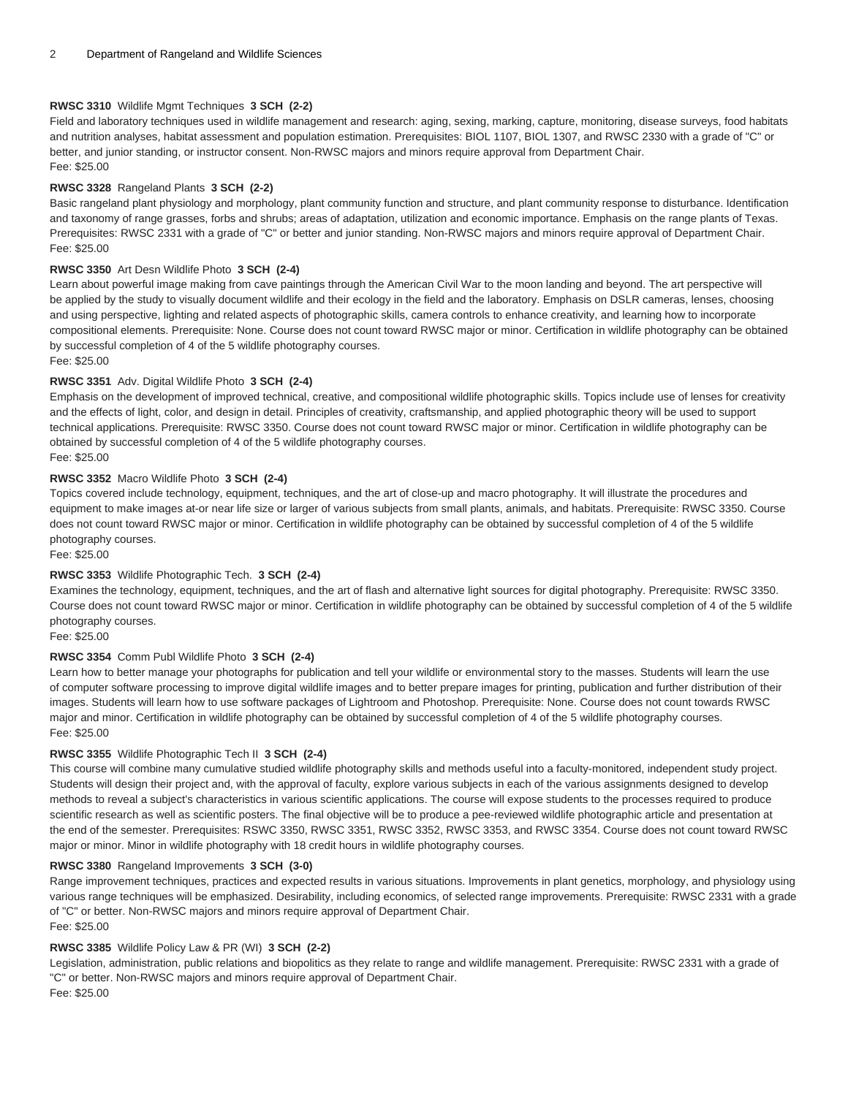#### **RWSC 3310** Wildlife Mgmt Techniques **3 SCH (2-2)**

Field and laboratory techniques used in wildlife management and research: aging, sexing, marking, capture, monitoring, disease surveys, food habitats and nutrition analyses, habitat assessment and population estimation. Prerequisites: BIOL 1107, BIOL 1307, and RWSC 2330 with a grade of "C" or better, and junior standing, or instructor consent. Non-RWSC majors and minors require approval from Department Chair. Fee: \$25.00

#### **RWSC 3328** Rangeland Plants **3 SCH (2-2)**

Basic rangeland plant physiology and morphology, plant community function and structure, and plant community response to disturbance. Identification and taxonomy of range grasses, forbs and shrubs; areas of adaptation, utilization and economic importance. Emphasis on the range plants of Texas. Prerequisites: RWSC 2331 with a grade of "C" or better and junior standing. Non-RWSC majors and minors require approval of Department Chair. Fee: \$25.00

#### **RWSC 3350** Art Desn Wildlife Photo **3 SCH (2-4)**

Learn about powerful image making from cave paintings through the American Civil War to the moon landing and beyond. The art perspective will be applied by the study to visually document wildlife and their ecology in the field and the laboratory. Emphasis on DSLR cameras, lenses, choosing and using perspective, lighting and related aspects of photographic skills, camera controls to enhance creativity, and learning how to incorporate compositional elements. Prerequisite: None. Course does not count toward RWSC major or minor. Certification in wildlife photography can be obtained by successful completion of 4 of the 5 wildlife photography courses.

Fee: \$25.00

#### **RWSC 3351** Adv. Digital Wildlife Photo **3 SCH (2-4)**

Emphasis on the development of improved technical, creative, and compositional wildlife photographic skills. Topics include use of lenses for creativity and the effects of light, color, and design in detail. Principles of creativity, craftsmanship, and applied photographic theory will be used to support technical applications. Prerequisite: RWSC 3350. Course does not count toward RWSC major or minor. Certification in wildlife photography can be obtained by successful completion of 4 of the 5 wildlife photography courses.

#### Fee: \$25.00

#### **RWSC 3352** Macro Wildlife Photo **3 SCH (2-4)**

Topics covered include technology, equipment, techniques, and the art of close-up and macro photography. It will illustrate the procedures and equipment to make images at-or near life size or larger of various subjects from small plants, animals, and habitats. Prerequisite: RWSC 3350. Course does not count toward RWSC major or minor. Certification in wildlife photography can be obtained by successful completion of 4 of the 5 wildlife photography courses.

Fee: \$25.00

#### **RWSC 3353** Wildlife Photographic Tech. **3 SCH (2-4)**

Examines the technology, equipment, techniques, and the art of flash and alternative light sources for digital photography. Prerequisite: RWSC 3350. Course does not count toward RWSC major or minor. Certification in wildlife photography can be obtained by successful completion of 4 of the 5 wildlife photography courses.

Fee: \$25.00

#### **RWSC 3354** Comm Publ Wildlife Photo **3 SCH (2-4)**

Learn how to better manage your photographs for publication and tell your wildlife or environmental story to the masses. Students will learn the use of computer software processing to improve digital wildlife images and to better prepare images for printing, publication and further distribution of their images. Students will learn how to use software packages of Lightroom and Photoshop. Prerequisite: None. Course does not count towards RWSC major and minor. Certification in wildlife photography can be obtained by successful completion of 4 of the 5 wildlife photography courses. Fee: \$25.00

#### **RWSC 3355** Wildlife Photographic Tech II **3 SCH (2-4)**

This course will combine many cumulative studied wildlife photography skills and methods useful into a faculty-monitored, independent study project. Students will design their project and, with the approval of faculty, explore various subjects in each of the various assignments designed to develop methods to reveal a subject's characteristics in various scientific applications. The course will expose students to the processes required to produce scientific research as well as scientific posters. The final objective will be to produce a pee-reviewed wildlife photographic article and presentation at the end of the semester. Prerequisites: RSWC 3350, RWSC 3351, RWSC 3352, RWSC 3353, and RWSC 3354. Course does not count toward RWSC major or minor. Minor in wildlife photography with 18 credit hours in wildlife photography courses.

#### **RWSC 3380** Rangeland Improvements **3 SCH (3-0)**

Range improvement techniques, practices and expected results in various situations. Improvements in plant genetics, morphology, and physiology using various range techniques will be emphasized. Desirability, including economics, of selected range improvements. Prerequisite: RWSC 2331 with a grade of "C" or better. Non-RWSC majors and minors require approval of Department Chair. Fee: \$25.00

#### **RWSC 3385** Wildlife Policy Law & PR (WI) **3 SCH (2-2)**

Legislation, administration, public relations and biopolitics as they relate to range and wildlife management. Prerequisite: RWSC 2331 with a grade of "C" or better. Non-RWSC majors and minors require approval of Department Chair.

Fee: \$25.00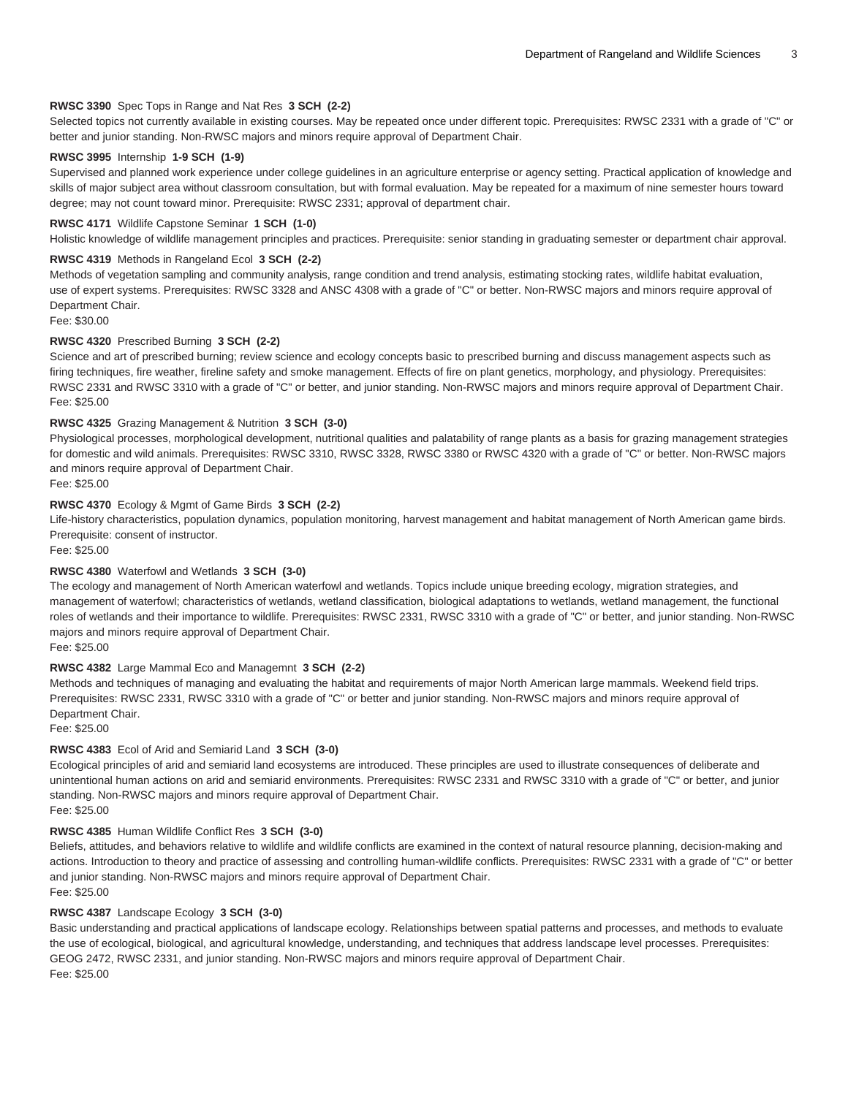#### **RWSC 3390** Spec Tops in Range and Nat Res **3 SCH (2-2)**

Selected topics not currently available in existing courses. May be repeated once under different topic. Prerequisites: RWSC 2331 with a grade of "C" or better and junior standing. Non-RWSC majors and minors require approval of Department Chair.

#### **RWSC 3995** Internship **1-9 SCH (1-9)**

Supervised and planned work experience under college guidelines in an agriculture enterprise or agency setting. Practical application of knowledge and skills of major subject area without classroom consultation, but with formal evaluation. May be repeated for a maximum of nine semester hours toward degree; may not count toward minor. Prerequisite: RWSC 2331; approval of department chair.

#### **RWSC 4171** Wildlife Capstone Seminar **1 SCH (1-0)**

Holistic knowledge of wildlife management principles and practices. Prerequisite: senior standing in graduating semester or department chair approval.

#### **RWSC 4319** Methods in Rangeland Ecol **3 SCH (2-2)**

Methods of vegetation sampling and community analysis, range condition and trend analysis, estimating stocking rates, wildlife habitat evaluation, use of expert systems. Prerequisites: RWSC 3328 and ANSC 4308 with a grade of "C" or better. Non-RWSC majors and minors require approval of Department Chair.

Fee: \$30.00

#### **RWSC 4320** Prescribed Burning **3 SCH (2-2)**

Science and art of prescribed burning; review science and ecology concepts basic to prescribed burning and discuss management aspects such as firing techniques, fire weather, fireline safety and smoke management. Effects of fire on plant genetics, morphology, and physiology. Prerequisites: RWSC 2331 and RWSC 3310 with a grade of "C" or better, and junior standing. Non-RWSC majors and minors require approval of Department Chair. Fee: \$25.00

#### **RWSC 4325** Grazing Management & Nutrition **3 SCH (3-0)**

Physiological processes, morphological development, nutritional qualities and palatability of range plants as a basis for grazing management strategies for domestic and wild animals. Prerequisites: RWSC 3310, RWSC 3328, RWSC 3380 or RWSC 4320 with a grade of "C" or better. Non-RWSC majors and minors require approval of Department Chair.

Fee: \$25.00

#### **RWSC 4370** Ecology & Mgmt of Game Birds **3 SCH (2-2)**

Life-history characteristics, population dynamics, population monitoring, harvest management and habitat management of North American game birds. Prerequisite: consent of instructor.

Fee: \$25.00

#### **RWSC 4380** Waterfowl and Wetlands **3 SCH (3-0)**

The ecology and management of North American waterfowl and wetlands. Topics include unique breeding ecology, migration strategies, and management of waterfowl; characteristics of wetlands, wetland classification, biological adaptations to wetlands, wetland management, the functional roles of wetlands and their importance to wildlife. Prerequisites: RWSC 2331, RWSC 3310 with a grade of "C" or better, and junior standing. Non-RWSC majors and minors require approval of Department Chair.

Fee: \$25.00

#### **RWSC 4382** Large Mammal Eco and Managemnt **3 SCH (2-2)**

Methods and techniques of managing and evaluating the habitat and requirements of major North American large mammals. Weekend field trips. Prerequisites: RWSC 2331, RWSC 3310 with a grade of "C" or better and junior standing. Non-RWSC majors and minors require approval of Department Chair

Fee: \$25.00

#### **RWSC 4383** Ecol of Arid and Semiarid Land **3 SCH (3-0)**

Ecological principles of arid and semiarid land ecosystems are introduced. These principles are used to illustrate consequences of deliberate and unintentional human actions on arid and semiarid environments. Prerequisites: RWSC 2331 and RWSC 3310 with a grade of "C" or better, and junior standing. Non-RWSC majors and minors require approval of Department Chair.

Fee: \$25.00

#### **RWSC 4385** Human Wildlife Conflict Res **3 SCH (3-0)**

Beliefs, attitudes, and behaviors relative to wildlife and wildlife conflicts are examined in the context of natural resource planning, decision-making and actions. Introduction to theory and practice of assessing and controlling human-wildlife conflicts. Prerequisites: RWSC 2331 with a grade of "C" or better and junior standing. Non-RWSC majors and minors require approval of Department Chair. Fee: \$25.00

#### **RWSC 4387** Landscape Ecology **3 SCH (3-0)**

Basic understanding and practical applications of landscape ecology. Relationships between spatial patterns and processes, and methods to evaluate the use of ecological, biological, and agricultural knowledge, understanding, and techniques that address landscape level processes. Prerequisites: GEOG 2472, RWSC 2331, and junior standing. Non-RWSC majors and minors require approval of Department Chair. Fee: \$25.00